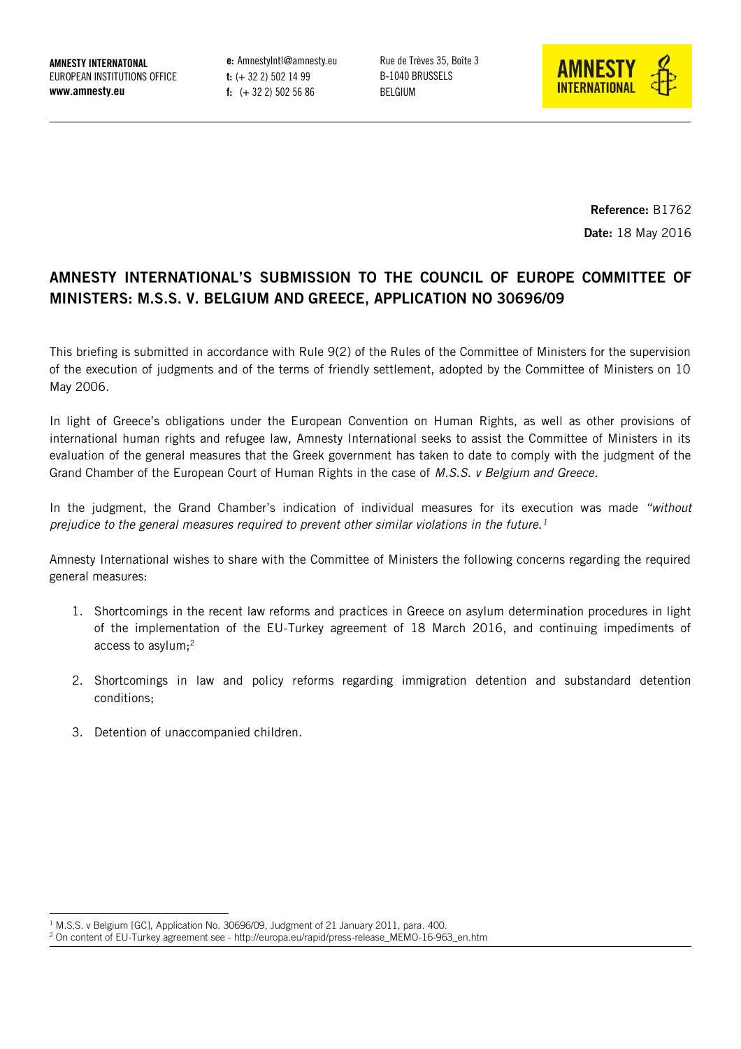**AMNESTY INTERNATONAL** EUROPEAN INSTITUTIONS OFFICE **www.amnesty.eu**

**e:** AmnestyIntl@amnesty.eu **t:** (+ 32 2) 502 14 99 **f:** (+ 32 2) 502 56 86

Rue de Trèves 35, Boîte 3 B-1040 BRUSSELS BELGIUM



**Reference:** B1762 **Date:** 18 May 2016

# **AMNESTY INTERNATIONAL'S SUBMISSION TO THE COUNCIL OF EUROPE COMMITTEE OF MINISTERS: M.S.S. V. BELGIUM AND GREECE, APPLICATION NO 30696/09**

This briefing is submitted in accordance with Rule 9(2) of the Rules of the Committee of Ministers for the supervision of the execution of judgments and of the terms of friendly settlement, adopted by the Committee of Ministers on 10 May 2006.

In light of Greece's obligations under the European Convention on Human Rights, as well as other provisions of international human rights and refugee law, Amnesty International seeks to assist the Committee of Ministers in its evaluation of the general measures that the Greek government has taken to date to comply with the judgment of the Grand Chamber of the European Court of Human Rights in the case of *M.S.S. v Belgium and Greece*.

In the judgment, the Grand Chamber's indication of individual measures for its execution was made *"without prejudice to the general measures required to prevent other similar violations in the future.<sup>1</sup>*

Amnesty International wishes to share with the Committee of Ministers the following concerns regarding the required general measures:

- 1. Shortcomings in the recent law reforms and practices in Greece on asylum determination procedures in light of the implementation of the EU-Turkey agreement of 18 March 2016, and continuing impediments of access to asylum;<sup>2</sup>
- 2. Shortcomings in law and policy reforms regarding immigration detention and substandard detention conditions;
- 3. Detention of unaccompanied children.

-

<sup>&</sup>lt;sup>1</sup> M.S.S. v Belgium [GC], Application No. 30696/09, Judgment of 21 January 2011, para. 400.

 $2$  On content of EU-Turkey agreement see - http://europa.eu/rapid/press-release\_MEMO-16-963\_en.htm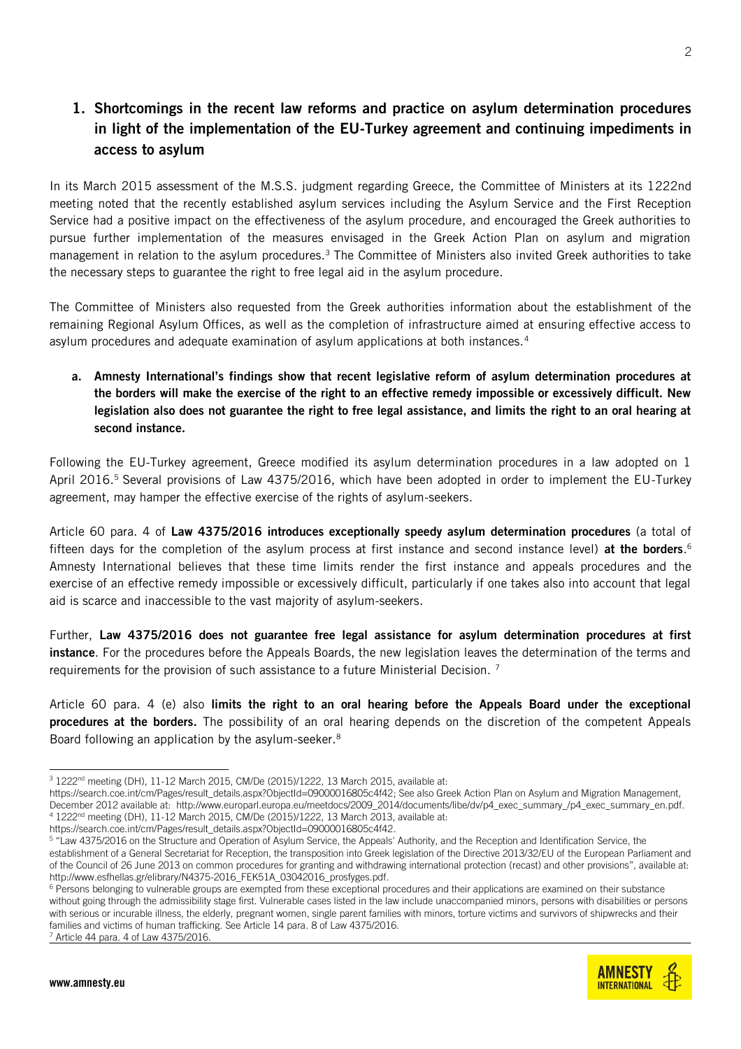# **1. Shortcomings in the recent law reforms and practice on asylum determination procedures in light of the implementation of the EU-Turkey agreement and continuing impediments in access to asylum**

In its March 2015 assessment of the M.S.S. judgment regarding Greece, the Committee of Ministers at its 1222nd meeting noted that the recently established asylum services including the Asylum Service and the First Reception Service had a positive impact on the effectiveness of the asylum procedure, and encouraged the Greek authorities to pursue further implementation of the measures envisaged in the Greek Action Plan on asylum and migration management in relation to the asylum procedures.<sup>3</sup> The Committee of Ministers also invited Greek authorities to take the necessary steps to guarantee the right to free legal aid in the asylum procedure.

The Committee of Ministers also requested from the Greek authorities information about the establishment of the remaining Regional Asylum Offices, as well as the completion of infrastructure aimed at ensuring effective access to asylum procedures and adequate examination of asylum applications at both instances.<sup>4</sup>

**a. Amnesty International's findings show that recent legislative reform of asylum determination procedures at the borders will make the exercise of the right to an effective remedy impossible or excessively difficult. New legislation also does not guarantee the right to free legal assistance, and limits the right to an oral hearing at second instance.** 

Following the EU-Turkey agreement, Greece modified its asylum determination procedures in a law adopted on 1 April 2016.<sup>5</sup> Several provisions of Law 4375/2016, which have been adopted in order to implement the EU-Turkey agreement, may hamper the effective exercise of the rights of asylum-seekers.

Article 60 para. 4 of **Law 4375/2016 introduces exceptionally speedy asylum determination procedures** (a total of fifteen days for the completion of the asylum process at first instance and second instance level) **at the borders**. 6 Amnesty International believes that these time limits render the first instance and appeals procedures and the exercise of an effective remedy impossible or excessively difficult, particularly if one takes also into account that legal aid is scarce and inaccessible to the vast majority of asylum-seekers.

Further, **Law 4375/2016 does not guarantee free legal assistance for asylum determination procedures at first instance**. For the procedures before the Appeals Boards, the new legislation leaves the determination of the terms and requirements for the provision of such assistance to a future Ministerial Decision.<sup>7</sup>

Article 60 para. 4 (e) also **limits the right to an oral hearing before the Appeals Board under the exceptional procedures at the borders.** The possibility of an oral hearing depends on the discretion of the competent Appeals Board following an application by the asylum-seeker.<sup>8</sup>

**AMNESTY INTERNATIONAL** 

<sup>-</sup><sup>3</sup> 1222<sup>nd</sup> meeting (DH), 11-12 March 2015, CM/De (2015)/1222, 13 March 2015, available at:

[https://search.coe.int/cm/Pages/result\\_details.aspx?ObjectId=09000016805c4f42;](https://search.coe.int/cm/Pages/result_details.aspx?ObjectId=09000016805c4f42) See also Greek Action Plan on Asylum and Migration Management, December 2012 available at: http://www.europarl.europa.eu/meetdocs/2009\_2014/documents/libe/dv/p4\_exec\_summary\_/p4\_exec\_summary\_en.pdf.  $4$  1222<sup>nd</sup> meeting (DH), 11-12 March 2015, CM/De (2015)/1222, 13 March 2013, available at:

[https://search.coe.int/cm/Pages/result\\_details.aspx?ObjectId=09000016805c4f42.](https://search.coe.int/cm/Pages/result_details.aspx?ObjectId=09000016805c4f42)

<sup>5</sup> "Law 4375/2016 on the Structure and Operation of Asylum Service, the Appeals' Authority, and the Reception and Identification Service, the establishment of a General Secretariat for Reception, the transposition into Greek legislation of the Directive 2013/32/EU of the European Parliament and of the Council of 26 June 2013 on common procedures for granting and withdrawing international protection (recast) and other provisions", available at: [http://www.esfhellas.gr/elibrary/N4375-2016\\_FEK51A\\_03042016\\_prosfyges.pdf.](http://www.esfhellas.gr/elibrary/N4375-2016_FEK51A_03042016_prosfyges.pdf)

<sup>&</sup>lt;sup>6</sup> Persons belonging to vulnerable groups are exempted from these exceptional procedures and their applications are examined on their substance without going through the admissibility stage first. Vulnerable cases listed in the law include unaccompanied minors, persons with disabilities or persons with serious or incurable illness, the elderly, pregnant women, single parent families with minors, torture victims and survivors of shipwrecks and their families and victims of human trafficking. See Article 14 para. 8 of Law 4375/2016. <sup>7</sup> Article 44 para. 4 of Law 4375/2016.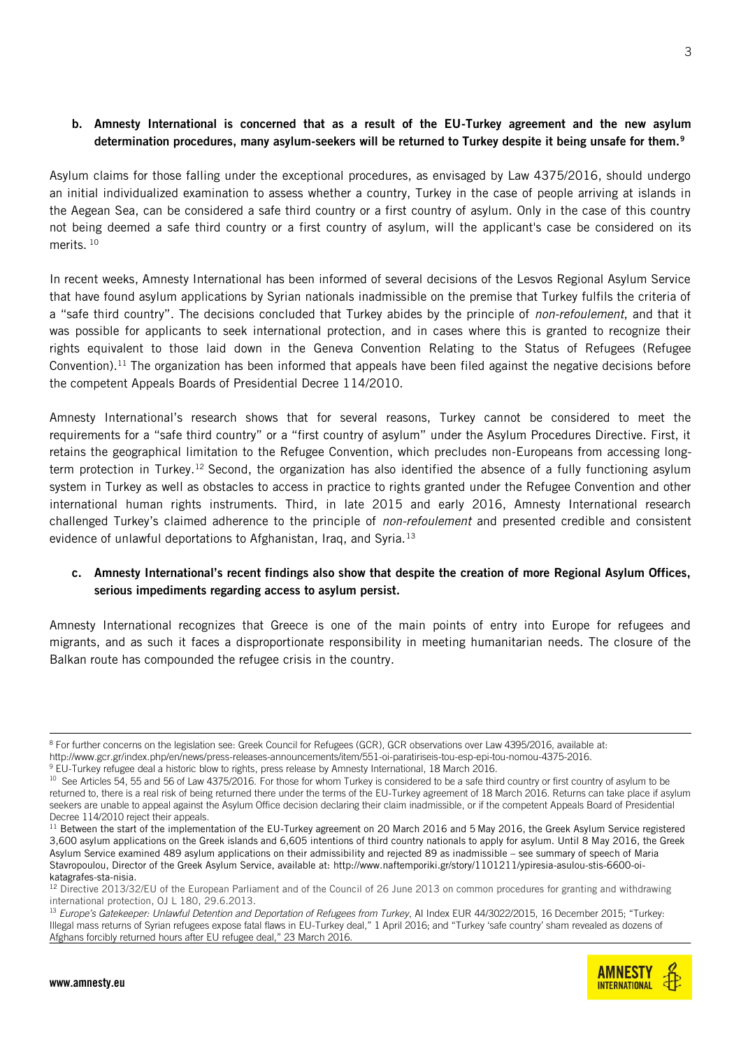#### **b. Amnesty International is concerned that as a result of the EU-Turkey agreement and the new asylum determination procedures, many asylum-seekers will be returned to Turkey despite it being unsafe for them.<sup>9</sup>**

Asylum claims for those falling under the exceptional procedures, as envisaged by Law 4375/2016, should undergo an initial individualized examination to assess whether a country, Turkey in the case of people arriving at islands in the Aegean Sea, can be considered a safe third country or a first country of asylum. Only in the case of this country not being deemed a safe third country or a first country of asylum, will the applicant's case be considered on its merits.<sup>10</sup>

In recent weeks, Amnesty International has been informed of several decisions of the Lesvos Regional Asylum Service that have found asylum applications by Syrian nationals inadmissible on the premise that Turkey fulfils the criteria of a "safe third country". The decisions concluded that Turkey abides by the principle of *non-refoulement*, and that it was possible for applicants to seek international protection, and in cases where this is granted to recognize their rights equivalent to those laid down in the Geneva Convention Relating to the Status of Refugees (Refugee Convention). <sup>11</sup> The organization has been informed that appeals have been filed against the negative decisions before the competent Appeals Boards of Presidential Decree 114/2010.

Amnesty International's research shows that for several reasons, Turkey cannot be considered to meet the requirements for a "safe third country" or a "first country of asylum" under the Asylum Procedures Directive. First, it retains the geographical limitation to the Refugee Convention, which precludes non-Europeans from accessing longterm protection in Turkey.<sup>12</sup> Second, the organization has also identified the absence of a fully functioning asylum system in Turkey as well as obstacles to access in practice to rights granted under the Refugee Convention and other international human rights instruments. Third, in late 2015 and early 2016, Amnesty International research challenged Turkey's claimed adherence to the principle of *non-refoulement* and presented credible and consistent evidence of unlawful deportations to Afghanistan, Iraq, and Syria. $13$ 

### **c. Amnesty International's recent findings also show that despite the creation of more Regional Asylum Offices, serious impediments regarding access to asylum persist.**

Amnesty International recognizes that Greece is one of the main points of entry into Europe for refugees and migrants, and as such it faces a disproportionate responsibility in meeting humanitarian needs. The closure of the Balkan route has compounded the refugee crisis in the country.

<sup>-</sup> $^8$  For further concerns on the legislation see: Greek Council for Refugees (GCR), GCR observations over Law 4395/2016, available at: [http://www.gcr.gr/index.php/en/news/press-releases-announcements/item/551-oi-paratiriseis-tou-esp-epi-tou-nomou-4375-2016.](http://www.gcr.gr/index.php/en/news/press-releases-announcements/item/551-oi-paratiriseis-tou-esp-epi-tou-nomou-4375-2016)

<sup>&</sup>lt;sup>9</sup> [EU-Turkey refugee deal a historic blow to rights,](https://www.amnesty.org/en/latest/news/2016/03/eu-turkey-refugee-deal-a-historic-blow-to-rights/) press release by Amnesty International, 18 March 2016.

<sup>&</sup>lt;sup>10</sup> See Articles 54, 55 and 56 of Law 4375/2016. For those for whom Turkey is considered to be a safe third country or first country of asylum to be returned to, there is a real risk of being returned there under the terms of the EU-Turkey agreement of 18 March 2016. Returns can take place if asylum seekers are unable to appeal against the Asylum Office decision declaring their claim inadmissible, or if the competent Appeals Board of Presidential Decree 114/2010 reject their appeals.

 $11$  Between the start of the implementation of the EU-Turkey agreement on 20 March 2016 and 5 May 2016, the Greek Asylum Service registered 3,600 asylum applications on the Greek islands and 6,605 intentions of third country nationals to apply for asylum. Until 8 May 2016, the Greek Asylum Service examined 489 asylum applications on their admissibility and rejected 89 as inadmissible – see summary of speech of Maria Stavropoulou, Director of the Greek Asylum Service, available at[: http://www.naftemporiki.gr/story/1101211/ypiresia-asulou-stis-6600-oi](http://www.naftemporiki.gr/story/1101211/ypiresia-asulou-stis-6600-oi-katagrafes-sta-nisia)[katagrafes-sta-nisia.](http://www.naftemporiki.gr/story/1101211/ypiresia-asulou-stis-6600-oi-katagrafes-sta-nisia)

<sup>&</sup>lt;sup>12</sup> Directive 2013/32/EU of the European Parliament and of the Council of 26 June 2013 on common procedures for granting and withdrawing international protection, OJ L 180, 29.6.2013.

<sup>&</sup>lt;sup>13</sup> *Europe's Gatekeeper: Unlawful Detention and Deportation of Refugees from Turkey*, AI Index EUR 44/3022/2015, 16 December 2015; "Turkey: Illegal mass returns of Syrian refugees expose fatal flaws in EU-Turkey deal," 1 April 2016; and "Turkey 'safe country' sham revealed as dozens of Afghans forcibly returned hours after EU refugee deal," 23 March 2016.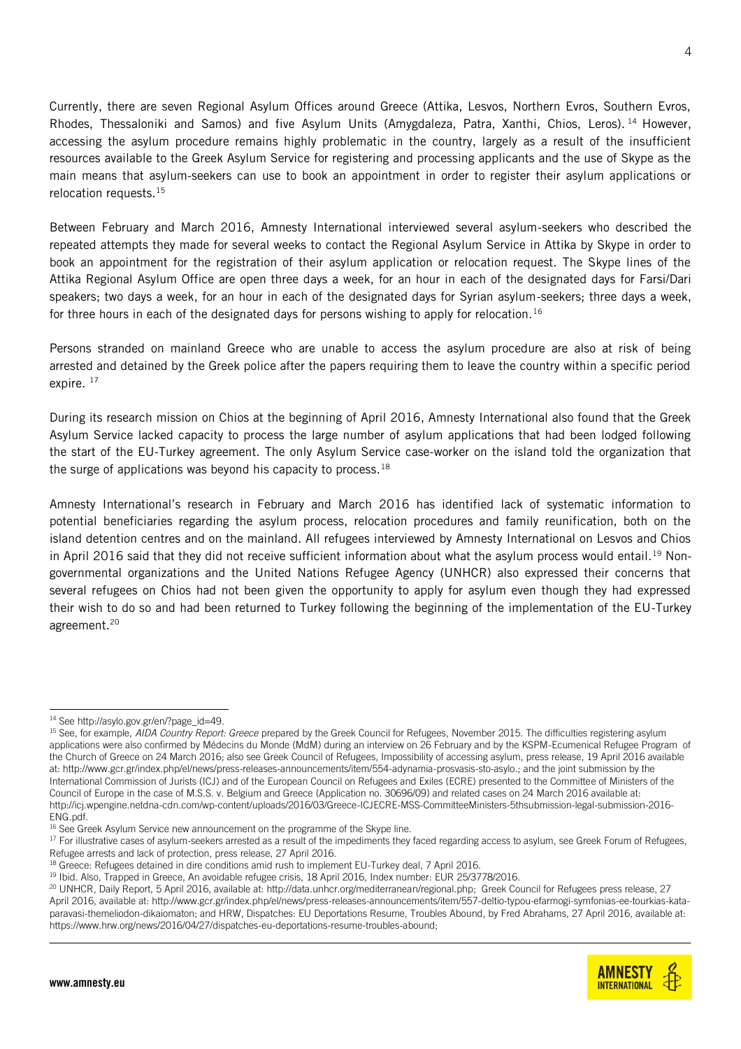Currently, there are seven Regional Asylum Offices around Greece (Attika, Lesvos, Northern Evros, Southern Evros, Rhodes, Thessaloniki and Samos) and five Asylum Units (Amygdaleza, Patra, Xanthi, Chios, Leros). <sup>14</sup> However, accessing the asylum procedure remains highly problematic in the country, largely as a result of the insufficient resources available to the Greek Asylum Service for registering and processing applicants and the use of Skype as the main means that asylum-seekers can use to book an appointment in order to register their asylum applications or relocation requests.<sup>15</sup>

Between February and March 2016, Amnesty International interviewed several asylum-seekers who described the repeated attempts they made for several weeks to contact the Regional Asylum Service in Attika by Skype in order to book an appointment for the registration of their asylum application or relocation request. The Skype lines of the Attika Regional Asylum Office are open three days a week, for an hour in each of the designated days for Farsi/Dari speakers; two days a week, for an hour in each of the designated days for Syrian asylum-seekers; three days a week, for three hours in each of the designated days for persons wishing to apply for relocation.<sup>16</sup>

Persons stranded on mainland Greece who are unable to access the asylum procedure are also at risk of being arrested and detained by the Greek police after the papers requiring them to leave the country within a specific period expire.<sup>17</sup>

During its research mission on Chios at the beginning of April 2016, Amnesty International also found that the Greek Asylum Service lacked capacity to process the large number of asylum applications that had been lodged following the start of the EU-Turkey agreement. The only Asylum Service case-worker on the island told the organization that the surge of applications was beyond his capacity to process. $18$ 

Amnesty International's research in February and March 2016 has identified lack of systematic information to potential beneficiaries regarding the asylum process, relocation procedures and family reunification, both on the island detention centres and on the mainland. All refugees interviewed by Amnesty International on Lesvos and Chios in April 2016 said that they did not receive sufficient information about what the asylum process would entail.<sup>19</sup> Nongovernmental organizations and the United Nations Refugee Agency (UNHCR) also expressed their concerns that several refugees on Chios had not been given the opportunity to apply for asylum even though they had expressed their wish to do so and had been returned to Turkey following the beginning of the implementation of the EU-Turkey agreement.<sup>20</sup>

<sup>&</sup>lt;sup>20</sup> UNHCR, Daily Report, 5 April 2016, available at: http://data.unhcr.org/mediterranean/regional.php; Greek Council for Refugees press release, 27 April 2016, available at: [http://www.gcr.gr/index.php/el/news/press-releases-announcements/item/557-deltio-typou-efarmogi-symfonias-ee-tourkias-kata](http://www.gcr.gr/index.php/el/news/press-releases-announcements/item/557-deltio-typou-efarmogi-symfonias-ee-tourkias-kata-paravasi-themeliodon-dikaiomaton)[paravasi-themeliodon-dikaiomaton;](http://www.gcr.gr/index.php/el/news/press-releases-announcements/item/557-deltio-typou-efarmogi-symfonias-ee-tourkias-kata-paravasi-themeliodon-dikaiomaton) and HRW, Dispatches: EU Deportations Resume, Troubles Abound, by Fred Abrahams, 27 April 2016, available at: [https://www.hrw.org/news/2016/04/27/dispatches-eu-deportations-resume-troubles-abound;](https://www.hrw.org/news/2016/04/27/dispatches-eu-deportations-resume-troubles-abound)



<sup>-</sup><sup>14</sup> See http://asylo.gov.gr/en/?page\_id=49.

<sup>15</sup> See, for example, *AIDA Country Report: Greece* prepared by the Greek Council for Refugees, November 2015. The difficulties registering asylum applications were also confirmed by Médecins du Monde (MdM) during an interview on 26 February and by the KSPM-Ecumenical Refugee Program of the Church of Greece on 24 March 2016; also see Greek Council of Refugees, Impossibility of accessing asylum, press release, 19 April 2016 available at[: http://www.gcr.gr/index.php/el/news/press-releases-announcements/item/554-adynamia-prosvasis-sto-asylo.;](http://www.gcr.gr/index.php/el/news/press-releases-announcements/item/554-adynamia-prosvasis-sto-asylo) and the joint submission by the International Commission of Jurists (ICJ) and of the European Council on Refugees and Exiles (ECRE) presented to the Committee of Ministers of the Council of Europe in the case of M.S.S. v. Belgium and Greece (Application no. 30696/09) and related cases on 24 March 2016 available at: [http://icj.wpengine.netdna-cdn.com/wp-content/uploads/2016/03/Greece-ICJECRE-MSS-CommitteeMinisters-5thsubmission-legal-submission-2016-](http://icj.wpengine.netdna-cdn.com/wp-content/uploads/2016/03/Greece-ICJECRE-MSS-CommitteeMinisters-5thsubmission-legal-submission-2016-ENG.pdf) [ENG.pdf.](http://icj.wpengine.netdna-cdn.com/wp-content/uploads/2016/03/Greece-ICJECRE-MSS-CommitteeMinisters-5thsubmission-legal-submission-2016-ENG.pdf) 

<sup>&</sup>lt;sup>16</sup> See Greek Asylum Service new [announcement](http://asylo.gov.gr/wp-content/uploads/2016/03/%CE%9D%CE%AD%CE%B1-%CE%91%CE%BD%CE%B1%CE%BA%CE%BF%CE%AF%CE%BD%CF%89%CF%83%CE%B7-%CE%A0%CF%81%CE%BF%CE%B3%CF%81%CE%AC%CE%BC%CE%BC%CE%B1%CF%84%CE%BF%CF%82-%CE%93%CF%81%CE%B1%CE%BC%CE%BC%CE%AE%CF%82-Skype-2803201) on the programme of the Skype line.

<sup>&</sup>lt;sup>17</sup> For illustrative cases of asylum-seekers arrested as a result of the impediments they faced regarding access to asylum, see Greek Forum of Refugees, Refugee arrests and lack of protection, press release, 27 April 2016.

<sup>&</sup>lt;sup>18</sup> Greece: Refugees detained in dire conditions amid rush to implement EU-Turkey deal, 7 April 2016.

<sup>&</sup>lt;sup>19</sup> Ibid. Also, Trapped in Greece, An avoidable refugee crisis, 18 April 2016, Index number: EUR 25/3778/2016.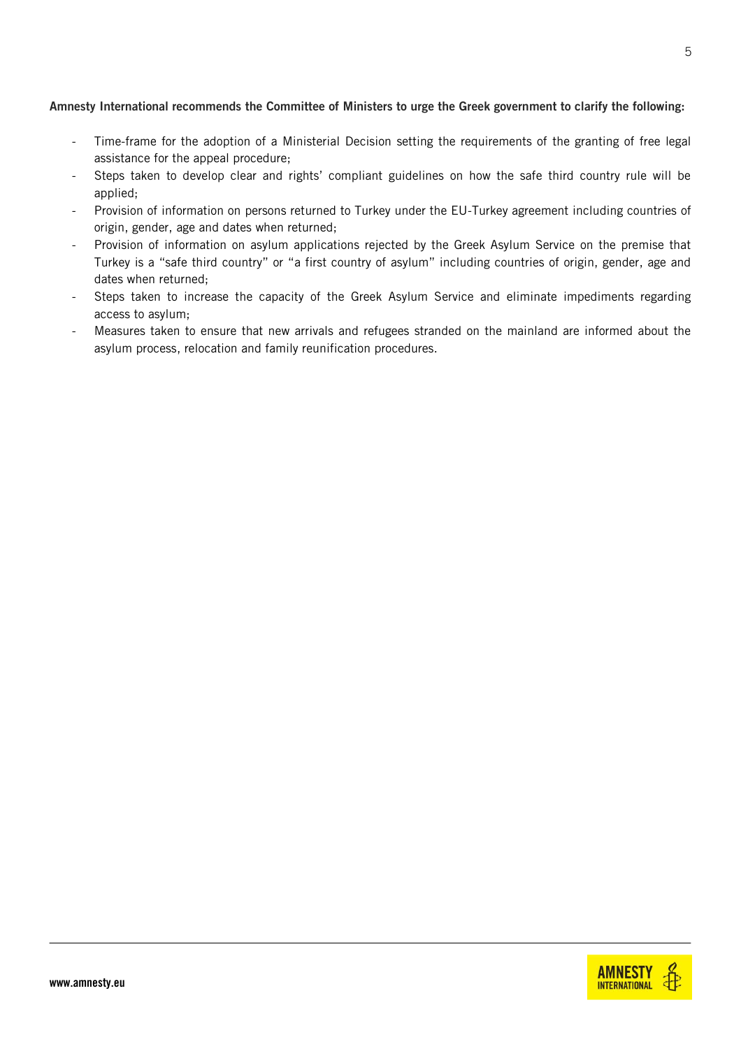#### **Amnesty International recommends the Committee of Ministers to urge the Greek government to clarify the following:**

- Time-frame for the adoption of a Ministerial Decision setting the requirements of the granting of free legal assistance for the appeal procedure;
- Steps taken to develop clear and rights' compliant guidelines on how the safe third country rule will be applied;
- Provision of information on persons returned to Turkey under the EU-Turkey agreement including countries of origin, gender, age and dates when returned;
- Provision of information on asylum applications rejected by the Greek Asylum Service on the premise that Turkey is a "safe third country" or "a first country of asylum" including countries of origin, gender, age and dates when returned;
- Steps taken to increase the capacity of the Greek Asylum Service and eliminate impediments regarding access to asylum;
- Measures taken to ensure that new arrivals and refugees stranded on the mainland are informed about the asylum process, relocation and family reunification procedures.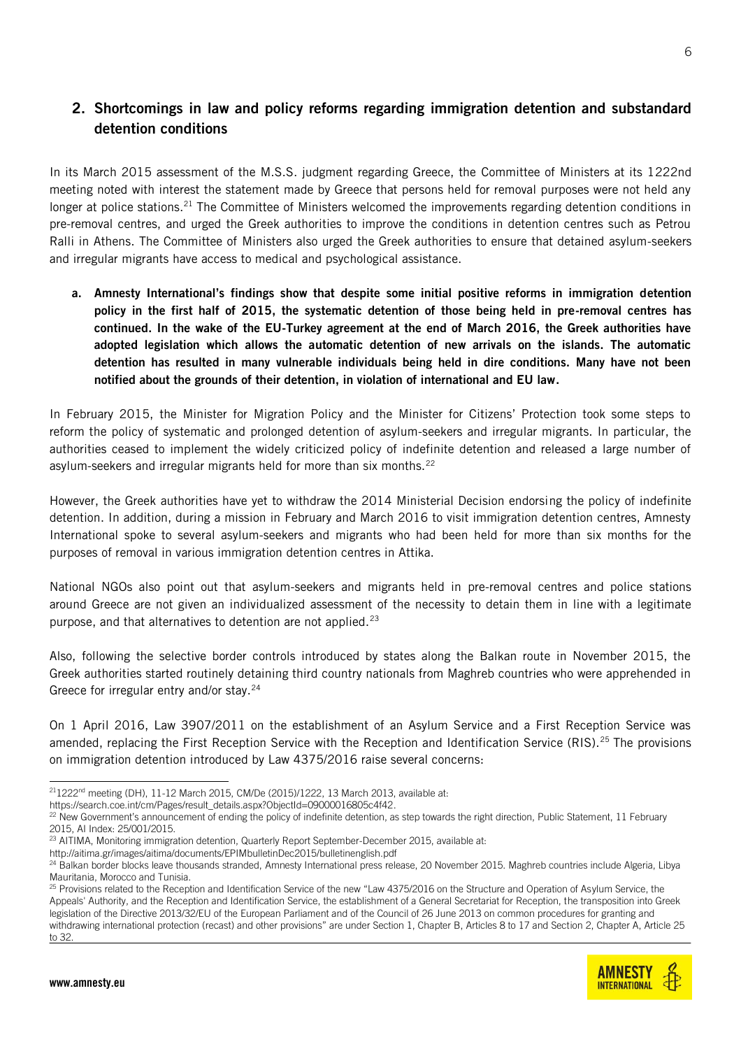# **2. Shortcomings in law and policy reforms regarding immigration detention and substandard detention conditions**

In its March 2015 assessment of the M.S.S. judgment regarding Greece, the Committee of Ministers at its 1222nd meeting noted with interest the statement made by Greece that persons held for removal purposes were not held any longer at police stations.<sup>21</sup> The Committee of Ministers welcomed the improvements regarding detention conditions in pre-removal centres, and urged the Greek authorities to improve the conditions in detention centres such as Petrou Ralli in Athens. The Committee of Ministers also urged the Greek authorities to ensure that detained asylum-seekers and irregular migrants have access to medical and psychological assistance.

**a. Amnesty International's findings show that despite some initial positive reforms in immigration detention policy in the first half of 2015, the systematic detention of those being held in pre-removal centres has continued. In the wake of the EU-Turkey agreement at the end of March 2016, the Greek authorities have adopted legislation which allows the automatic detention of new arrivals on the islands. The automatic detention has resulted in many vulnerable individuals being held in dire conditions. Many have not been notified about the grounds of their detention, in violation of international and EU law.**

In February 2015, the Minister for Migration Policy and the Minister for Citizens' Protection took some steps to reform the policy of systematic and prolonged detention of asylum-seekers and irregular migrants. In particular, the authorities ceased to implement the widely criticized policy of indefinite detention and released a large number of asylum-seekers and irregular migrants held for more than six months.<sup>22</sup>

However, the Greek authorities have yet to withdraw the 2014 Ministerial Decision endorsing the policy of indefinite detention. In addition, during a mission in February and March 2016 to visit immigration detention centres, Amnesty International spoke to several asylum-seekers and migrants who had been held for more than six months for the purposes of removal in various immigration detention centres in Attika.

National NGOs also point out that asylum-seekers and migrants held in pre-removal centres and police stations around Greece are not given an individualized assessment of the necessity to detain them in line with a legitimate purpose, and that alternatives to detention are not applied.<sup>23</sup>

Also, following the selective border controls introduced by states along the Balkan route in November 2015, the Greek authorities started routinely detaining third country nationals from Maghreb countries who were apprehended in Greece for irregular entry and/or stay.<sup>24</sup>

On 1 April 2016, Law 3907/2011 on the establishment of an Asylum Service and a First Reception Service was amended, replacing the First Reception Service with the Reception and Identification Service (RIS).<sup>25</sup> The provisions on immigration detention introduced by Law 4375/2016 raise several concerns:

[https://search.coe.int/cm/Pages/result\\_details.aspx?ObjectId=09000016805c4f42.](https://search.coe.int/cm/Pages/result_details.aspx?ObjectId=09000016805c4f42)

<sup>23</sup> AITIMA, Monitoring immigration detention, Quarterly Report September-December 2015, available at:

<http://aitima.gr/images/aitima/documents/EPIMbulletinDec2015/bulletinenglish.pdf>

<sup>-</sup> $211222<sup>nd</sup>$  meeting (DH), 11-12 March 2015, CM/De (2015)/1222, 13 March 2013, available at:

<sup>&</sup>lt;sup>22</sup> New Government's announcement of ending the policy of indefinite detention, as step towards the right direction, Public Statement, 11 February 2015, AI Index: 25/001/2015.

<sup>&</sup>lt;sup>24</sup> Balkan border blocks leave thousands stranded, Amnesty International press release, 20 November 2015. Maghreb countries include Algeria, Libya Mauritania, Morocco and Tunisia.

<sup>&</sup>lt;sup>25</sup> Provisions related to the Reception and Identification Service of the new "Law 4375/2016 on the Structure and Operation of Asylum Service, the Appeals' Authority, and the Reception and Identification Service, the establishment of a General Secretariat for Reception, the transposition into Greek legislation of the Directive 2013/32/EU of the European Parliament and of the Council of 26 June 2013 on common procedures for granting and withdrawing international protection (recast) and other provisions" are under Section 1, Chapter B, Articles 8 to 17 and Section 2, Chapter A, Article 25 to 32.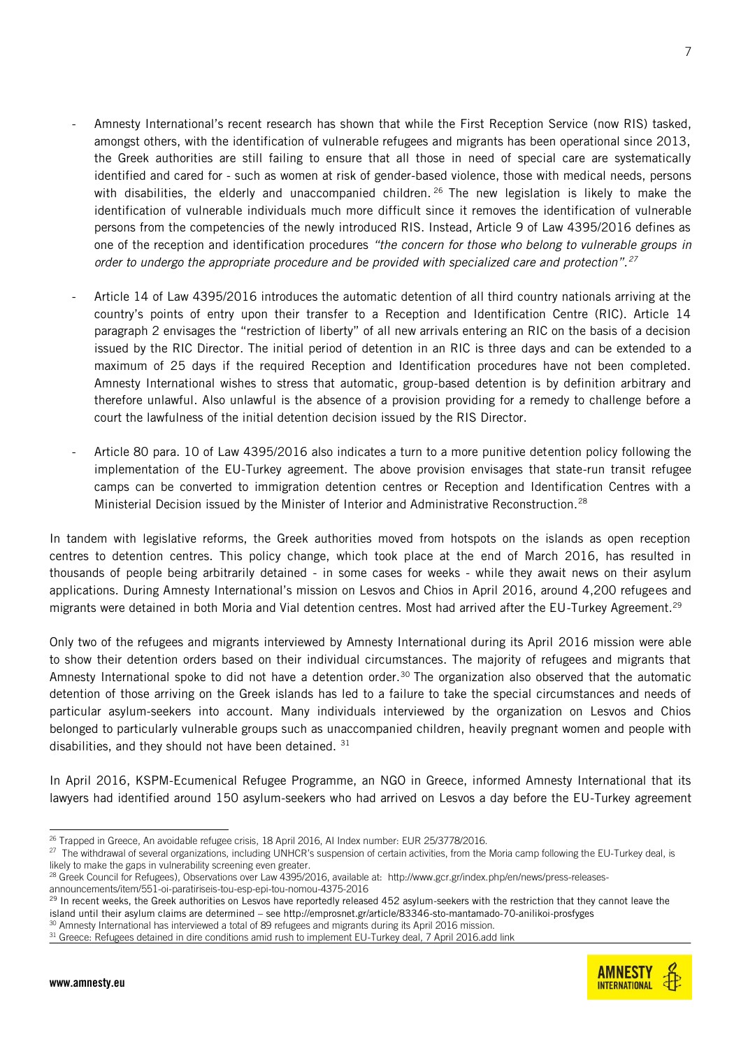- Amnesty International's recent research has shown that while the First Reception Service (now RIS) tasked, amongst others, with the identification of vulnerable refugees and migrants has been operational since 2013, the Greek authorities are still failing to ensure that all those in need of special care are systematically identified and cared for - such as women at risk of gender-based violence, those with medical needs, persons with disabilities, the elderly and unaccompanied children.  $26$  The new legislation is likely to make the identification of vulnerable individuals much more difficult since it removes the identification of vulnerable persons from the competencies of the newly introduced RIS. Instead, Article 9 of Law 4395/2016 defines as one of the reception and identification procedures *"the concern for those who belong to vulnerable groups in order to undergo the appropriate procedure and be provided with specialized care and protection".<sup>27</sup>*
- Article 14 of Law 4395/2016 introduces the automatic detention of all third country nationals arriving at the country's points of entry upon their transfer to a Reception and Identification Centre (RIC). Article 14 paragraph 2 envisages the "restriction of liberty" of all new arrivals entering an RIC on the basis of a decision issued by the RIC Director. The initial period of detention in an RIC is three days and can be extended to a maximum of 25 days if the required Reception and Identification procedures have not been completed. Amnesty International wishes to stress that automatic, group-based detention is by definition arbitrary and therefore unlawful. Also unlawful is the absence of a provision providing for a remedy to challenge before a court the lawfulness of the initial detention decision issued by the RIS Director.
- Article 80 para. 10 of Law 4395/2016 also indicates a turn to a more punitive detention policy following the implementation of the EU-Turkey agreement. The above provision envisages that state-run transit refugee camps can be converted to immigration detention centres or Reception and Identification Centres with a Ministerial Decision issued by the Minister of Interior and Administrative Reconstruction.<sup>28</sup>

In tandem with legislative reforms, the Greek authorities moved from hotspots on the islands as open reception centres to detention centres. This policy change, which took place at the end of March 2016, has resulted in thousands of people being arbitrarily detained - in some cases for weeks - while they await news on their asylum applications. During Amnesty International's mission on Lesvos and Chios in April 2016, around 4,200 refugees and migrants were detained in both Moria and Vial detention centres. Most had arrived after the EU-Turkey Agreement.<sup>29</sup>

Only two of the refugees and migrants interviewed by Amnesty International during its April 2016 mission were able to show their detention orders based on their individual circumstances. The majority of refugees and migrants that Amnesty International spoke to did not have a detention order.<sup>30</sup> The organization also observed that the automatic detention of those arriving on the Greek islands has led to a failure to take the special circumstances and needs of particular asylum-seekers into account. Many individuals interviewed by the organization on Lesvos and Chios belonged to particularly vulnerable groups such as unaccompanied children, heavily pregnant women and people with disabilities, and they should not have been detained. 31

In April 2016, KSPM-Ecumenical Refugee Programme, an NGO in Greece, informed Amnesty International that its lawyers had identified around 150 asylum-seekers who had arrived on Lesvos a day before the EU-Turkey agreement

<sup>30</sup> Amnesty International has interviewed a total of 89 refugees and migrants during its April 2016 mission.



<sup>-</sup><sup>26</sup> Trapped in Greece, An avoidable refugee crisis, 18 April 2016, AI Index number: EUR 25/3778/2016.

 $^{27}$  The withdrawal of several organizations, including UNHCR's suspension of certain activities, from the Moria camp following the EU-Turkey deal, is likely to make the gaps in vulnerability screening even greater.

<sup>&</sup>lt;sup>28</sup> Greek Council for Refugees), Observations over Law 4395/2016, available at: [http://www.gcr.gr/index.php/en/news/press-releases](http://www.gcr.gr/index.php/en/news/press-releases-announcements/item/551-oi-paratiriseis-tou-esp-epi-tou-nomou-4375-2016)[announcements/item/551-oi-paratiriseis-tou-esp-epi-tou-nomou-4375-2016](http://www.gcr.gr/index.php/en/news/press-releases-announcements/item/551-oi-paratiriseis-tou-esp-epi-tou-nomou-4375-2016)

<sup>&</sup>lt;sup>29</sup> In recent weeks, the Greek authorities on Lesvos have reportedly released 452 asylum-seekers with the restriction that they cannot leave the island until their asylum claims are determined – se[e http://emprosnet.gr/article/83346-sto-mantamado-70-anilikoi-prosfyges](http://emprosnet.gr/article/83346-sto-mantamado-70-anilikoi-prosfyges)

<sup>31</sup> Greece: Refugees detained in dire conditions amid rush to implement EU-Turkey deal, 7 April 2016.add link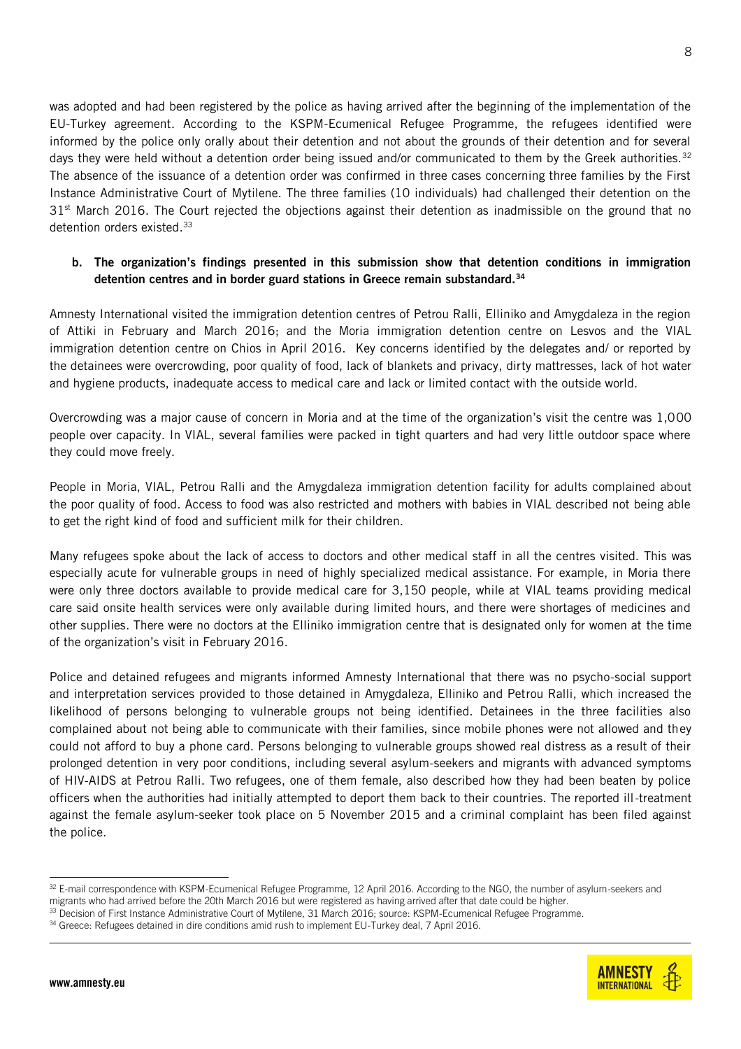8

was adopted and had been registered by the police as having arrived after the beginning of the implementation of the EU-Turkey agreement. According to the KSPM-Ecumenical Refugee Programme, the refugees identified were informed by the police only orally about their detention and not about the grounds of their detention and for several days they were held without a detention order being issued and/or communicated to them by the Greek authorities.<sup>32</sup> The absence of the issuance of a detention order was confirmed in three cases concerning three families by the First Instance Administrative Court of Mytilene. The three families (10 individuals) had challenged their detention on the  $31<sup>st</sup>$  March 2016. The Court rejected the objections against their detention as inadmissible on the ground that no detention orders existed.<sup>33</sup>

### **b. The organization's findings presented in this submission show that detention conditions in immigration detention centres and in border guard stations in Greece remain substandard.<sup>34</sup>**

Amnesty International visited the immigration detention centres of Petrou Ralli, Elliniko and Amygdaleza in the region of Attiki in February and March 2016; and the Moria immigration detention centre on Lesvos and the VIAL immigration detention centre on Chios in April 2016. Key concerns identified by the delegates and/ or reported by the detainees were overcrowding, poor quality of food, lack of blankets and privacy, dirty mattresses, lack of hot water and hygiene products, inadequate access to medical care and lack or limited contact with the outside world.

Overcrowding was a major cause of concern in Moria and at the time of the organization's visit the centre was 1,000 people over capacity. In VIAL, several families were packed in tight quarters and had very little outdoor space where they could move freely.

People in Moria, VIAL, Petrou Ralli and the Amygdaleza immigration detention facility for adults complained about the poor quality of food. Access to food was also restricted and mothers with babies in VIAL described not being able to get the right kind of food and sufficient milk for their children.

Many refugees spoke about the lack of access to doctors and other medical staff in all the centres visited. This was especially acute for vulnerable groups in need of highly specialized medical assistance. For example, in Moria there were only three doctors available to provide medical care for 3,150 people, while at VIAL teams providing medical care said onsite health services were only available during limited hours, and there were shortages of medicines and other supplies. There were no doctors at the Elliniko immigration centre that is designated only for women at the time of the organization's visit in February 2016.

Police and detained refugees and migrants informed Amnesty International that there was no psycho-social support and interpretation services provided to those detained in Amygdaleza, Elliniko and Petrou Ralli, which increased the likelihood of persons belonging to vulnerable groups not being identified. Detainees in the three facilities also complained about not being able to communicate with their families, since mobile phones were not allowed and they could not afford to buy a phone card. Persons belonging to vulnerable groups showed real distress as a result of their prolonged detention in very poor conditions, including several asylum-seekers and migrants with advanced symptoms of HIV-AIDS at Petrou Ralli. Two refugees, one of them female, also described how they had been beaten by police officers when the authorities had initially attempted to deport them back to their countries. The reported ill-treatment against the female asylum-seeker took place on 5 November 2015 and a criminal complaint has been filed against the police.



<sup>-</sup>32 E-mail correspondence with KSPM-Ecumenical Refugee Programme, 12 April 2016. According to the NGO, the number of asylum-seekers and migrants who had arrived before the 20th March 2016 but were registered as having arrived after that date could be higher.

<sup>33</sup> Decision of First Instance Administrative Court of Mytilene, 31 March 2016; source: KSPM-Ecumenical Refugee Programme.

<sup>&</sup>lt;sup>34</sup> Greece: Refugees detained in dire conditions amid rush to implement EU-Turkey deal, 7 April 2016.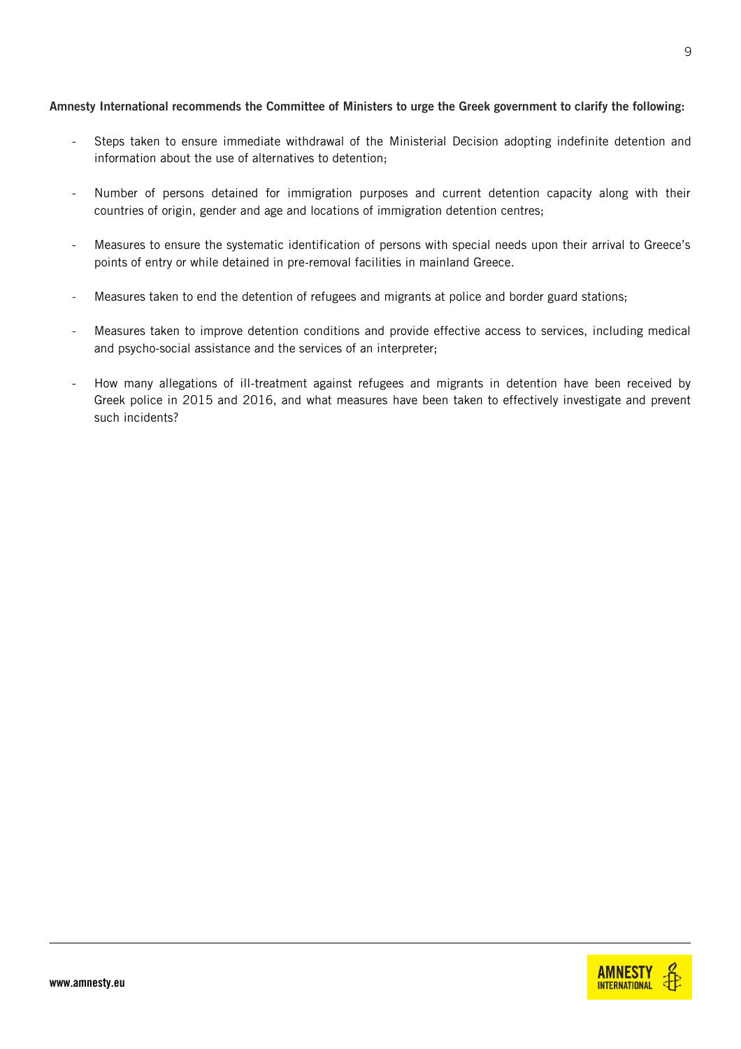#### **Amnesty International recommends the Committee of Ministers to urge the Greek government to clarify the following:**

- Steps taken to ensure immediate withdrawal of the Ministerial Decision adopting indefinite detention and information about the use of alternatives to detention;
- Number of persons detained for immigration purposes and current detention capacity along with their countries of origin, gender and age and locations of immigration detention centres;
- Measures to ensure the systematic identification of persons with special needs upon their arrival to Greece's points of entry or while detained in pre-removal facilities in mainland Greece.
- Measures taken to end the detention of refugees and migrants at police and border guard stations;
- Measures taken to improve detention conditions and provide effective access to services, including medical and psycho-social assistance and the services of an interpreter;
- How many allegations of ill-treatment against refugees and migrants in detention have been received by Greek police in 2015 and 2016, and what measures have been taken to effectively investigate and prevent such incidents?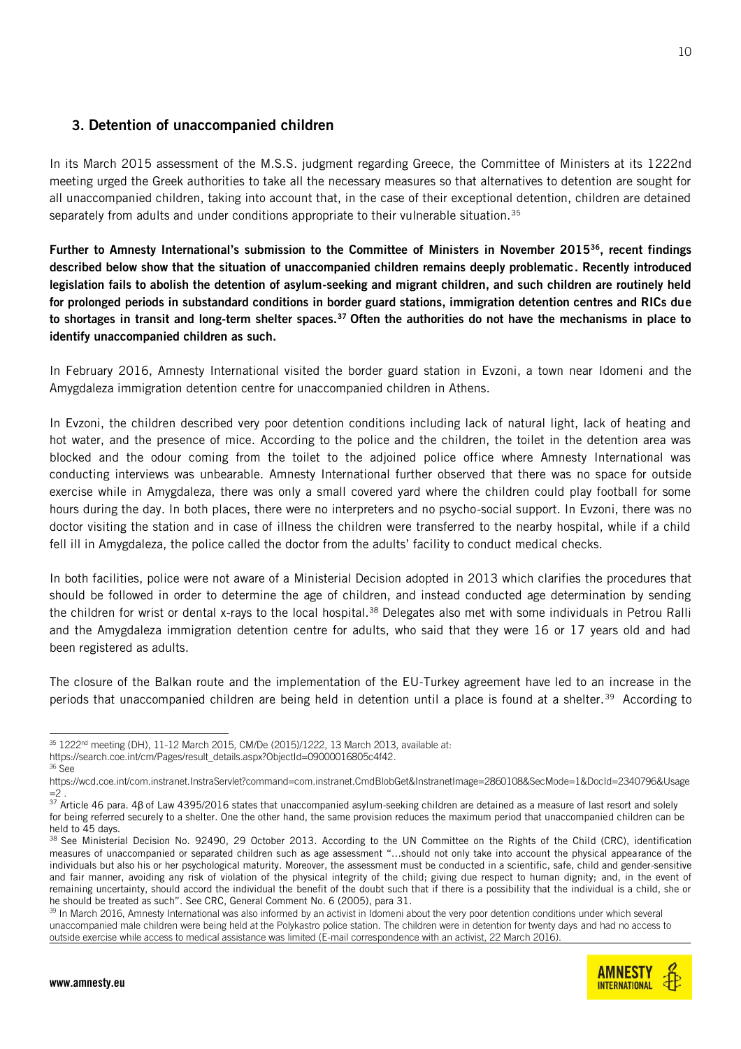## **3. Detention of unaccompanied children**

In its March 2015 assessment of the M.S.S. judgment regarding Greece, the Committee of Ministers at its 1222nd meeting urged the Greek authorities to take all the necessary measures so that alternatives to detention are sought for all unaccompanied children, taking into account that, in the case of their exceptional detention, children are detained separately from adults and under conditions appropriate to their vulnerable situation.<sup>35</sup>

**Further to Amnesty International's submission to the Committee of Ministers in November 2015<sup>36</sup>, recent findings described below show that the situation of unaccompanied children remains deeply problematic. Recently introduced legislation fails to abolish the detention of asylum-seeking and migrant children, and such children are routinely held for prolonged periods in substandard conditions in border guard stations, immigration detention centres and RICs due to shortages in transit and long-term shelter spaces.<sup>37</sup> Often the authorities do not have the mechanisms in place to identify unaccompanied children as such.**

In February 2016, Amnesty International visited the border guard station in Evzoni, a town near Idomeni and the Amygdaleza immigration detention centre for unaccompanied children in Athens.

In Evzoni, the children described very poor detention conditions including lack of natural light, lack of heating and hot water, and the presence of mice. According to the police and the children, the toilet in the detention area was blocked and the odour coming from the toilet to the adjoined police office where Amnesty International was conducting interviews was unbearable. Amnesty International further observed that there was no space for outside exercise while in Amygdaleza, there was only a small covered yard where the children could play football for some hours during the day. In both places, there were no interpreters and no psycho-social support. In Evzoni, there was no doctor visiting the station and in case of illness the children were transferred to the nearby hospital, while if a child fell ill in Amygdaleza, the police called the doctor from the adults' facility to conduct medical checks.

In both facilities, police were not aware of a Ministerial Decision adopted in 2013 which clarifies the procedures that should be followed in order to determine the age of children, and instead conducted age determination by sending the children for wrist or dental x-rays to the local hospital.<sup>38</sup> Delegates also met with some individuals in Petrou Ralli and the Amygdaleza immigration detention centre for adults, who said that they were 16 or 17 years old and had been registered as adults.

The closure of the Balkan route and the implementation of the EU-Turkey agreement have led to an increase in the periods that unaccompanied children are being held in detention until a place is found at a shelter.<sup>39</sup> According to

<sup>39</sup> In March 2016, Amnesty International was also informed by an activist in Idomeni about the very poor detention conditions under which several unaccompanied male children were being held at the Polykastro police station. The children were in detention for twenty days and had no access to outside exercise while access to medical assistance was limited (E-mail correspondence with an activist, 22 March 2016).



<sup>-</sup> $35\,1222$ <sup>nd</sup> meeting (DH),  $11\text{-}12$  March 2015, CM/De (2015)/1222, 13 March 2013, available at:

[https://search.coe.int/cm/Pages/result\\_details.aspx?ObjectId=09000016805c4f42.](https://search.coe.int/cm/Pages/result_details.aspx?ObjectId=09000016805c4f42) <sup>36</sup> See

https://wcd.coe.int/com.instranet.InstraServlet?command=com.instranet.CmdBlobGet&InstranetImage=2860108&SecMode=1&DocId=2340796&Usage  $=2$ .

<sup>37</sup> Article 46 para. 4β of Law 4395/2016 states that unaccompanied asylum-seeking children are detained as a measure of last resort and solely for being referred securely to a shelter. One the other hand, the same provision reduces the maximum period that unaccompanied children can be held to 45 days.

<sup>38</sup> See [Ministerial Decision No. 92490, 29 October 2013.](http://www.unhcr.gr/prostasia/nomiki-prostasia/o-nomos-stin-ellada/nomothesia-gia-to-asylo.html?L=jbufsfamr) According to the UN Committee on the Rights of the Child (CRC), identification measures of unaccompanied or separated children such as age assessment "…should not only take into account the physical appearance of the individuals but also his or her psychological maturity. Moreover, the assessment must be conducted in a scientific, safe, child and gender-sensitive and fair manner, avoiding any risk of violation of the physical integrity of the child; giving due respect to human dignity; and, in the event of remaining uncertainty, should accord the individual the benefit of the doubt such that if there is a possibility that the individual is a child, she or he should be treated as such". See CRC, General Comment No. 6 (2005), para 31.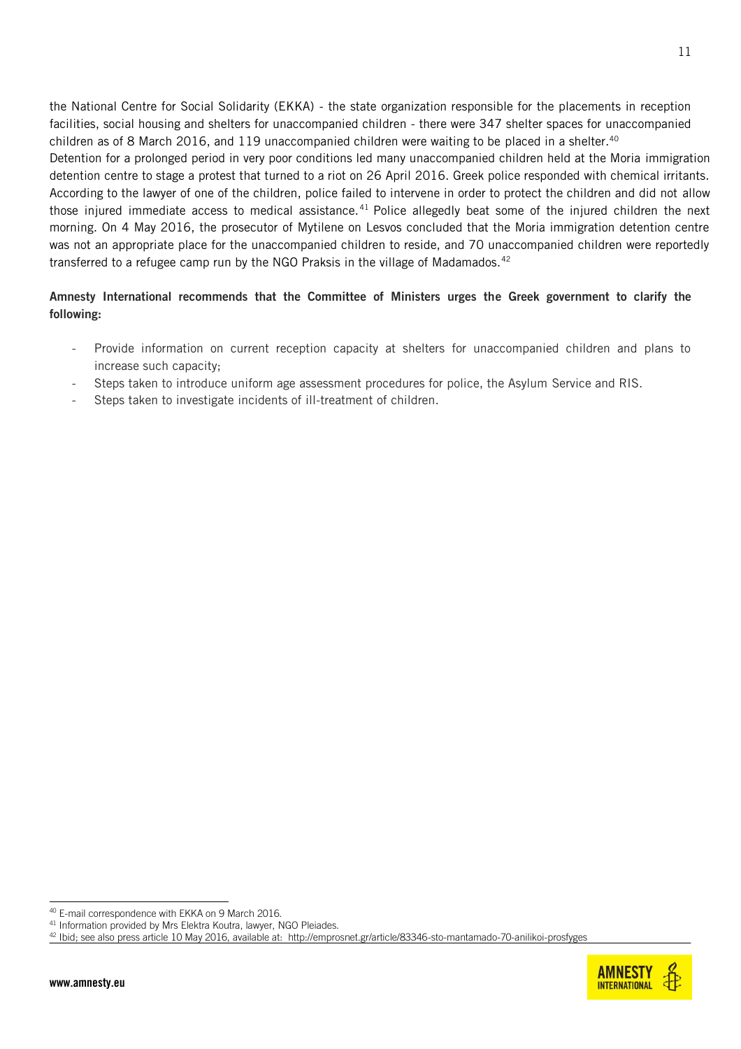the National Centre for Social Solidarity (EKKA) - the state organization responsible for the placements in reception facilities, social housing and shelters for unaccompanied children - there were 347 shelter spaces for unaccompanied children as of 8 March 2016, and 119 unaccompanied children were waiting to be placed in a shelter.<sup>40</sup>

Detention for a prolonged period in very poor conditions led many unaccompanied children held at the Moria immigration detention centre to stage a protest that turned to a riot on 26 April 2016. Greek police responded with chemical irritants. According to the lawyer of one of the children, police failed to intervene in order to protect the children and did not allow those injured immediate access to medical assistance.<sup>41</sup> Police allegedly beat some of the injured children the next morning. On 4 May 2016, the prosecutor of Mytilene on Lesvos concluded that the Moria immigration detention centre was not an appropriate place for the unaccompanied children to reside, and 70 unaccompanied children were reportedly transferred to a refugee camp run by the NGO Praksis in the village of Madamados.<sup>42</sup>

### **Amnesty International recommends that the Committee of Ministers urges the Greek government to clarify the following:**

- Provide information on current reception capacity at shelters for unaccompanied children and plans to increase such capacity;
- Steps taken to introduce uniform age assessment procedures for police, the Asylum Service and RIS.
- Steps taken to investigate incidents of ill-treatment of children.



<sup>-</sup><sup>40</sup> E-mail correspondence with EKKA on 9 March 2016.

<sup>&</sup>lt;sup>41</sup> Information provided by Mrs Elektra Koutra, lawyer, NGO Pleiades.

<sup>42</sup> Ibid; see also press article 10 May 2016, available at: http://emprosnet.gr/article/83346-sto-mantamado-70-anilikoi-prosfyges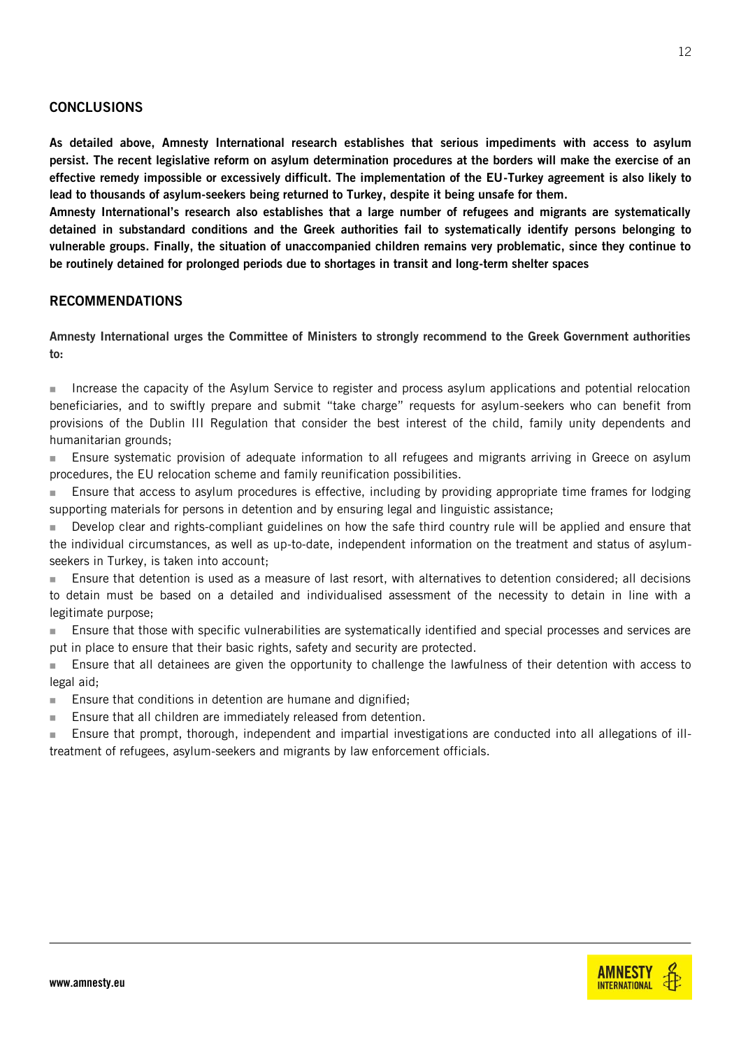#### **CONCLUSIONS**

**As detailed above, Amnesty International research establishes that serious impediments with access to asylum persist. The recent legislative reform on asylum determination procedures at the borders will make the exercise of an effective remedy impossible or excessively difficult. The implementation of the EU-Turkey agreement is also likely to lead to thousands of asylum-seekers being returned to Turkey, despite it being unsafe for them.** 

**Amnesty International's research also establishes that a large number of refugees and migrants are systematically detained in substandard conditions and the Greek authorities fail to systematically identify persons belonging to vulnerable groups. Finally, the situation of unaccompanied children remains very problematic, since they continue to be routinely detained for prolonged periods due to shortages in transit and long-term shelter spaces**

#### **RECOMMENDATIONS**

**Amnesty International urges the Committee of Ministers to strongly recommend to the Greek Government authorities to:**

Increase the capacity of the Asylum Service to register and process asylum applications and potential relocation beneficiaries, and to swiftly prepare and submit "take charge" requests for asylum-seekers who can benefit from provisions of the Dublin III Regulation that consider the best interest of the child, family unity dependents and humanitarian grounds;

 Ensure systematic provision of adequate information to all refugees and migrants arriving in Greece on asylum procedures, the EU relocation scheme and family reunification possibilities.

**Ensure that access to asylum procedures is effective, including by providing appropriate time frames for lodging** supporting materials for persons in detention and by ensuring legal and linguistic assistance;

 Develop clear and rights-compliant guidelines on how the safe third country rule will be applied and ensure that the individual circumstances, as well as up-to-date, independent information on the treatment and status of asylumseekers in Turkey, is taken into account;

 Ensure that detention is used as a measure of last resort, with alternatives to detention considered; all decisions to detain must be based on a detailed and individualised assessment of the necessity to detain in line with a legitimate purpose;

**Ensure that those with specific vulnerabilities are systematically identified and special processes and services are** put in place to ensure that their basic rights, safety and security are protected.

 Ensure that all detainees are given the opportunity to challenge the lawfulness of their detention with access to legal aid;

- **Ensure that conditions in detention are humane and dignified;**
- **Ensure that all children are immediately released from detention.**

 Ensure that prompt, thorough, independent and impartial investigations are conducted into all allegations of illtreatment of refugees, asylum-seekers and migrants by law enforcement officials.